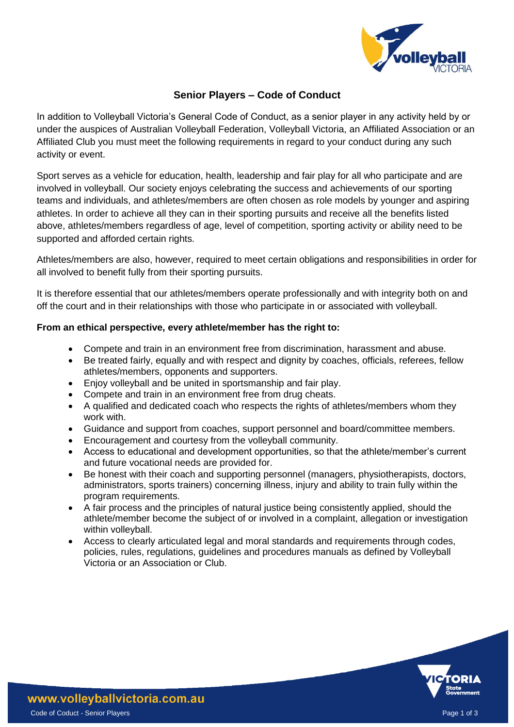

# **Senior Players – Code of Conduct**

In addition to Volleyball Victoria's General Code of Conduct, as a senior player in any activity held by or under the auspices of Australian Volleyball Federation, Volleyball Victoria, an Affiliated Association or an Affiliated Club you must meet the following requirements in regard to your conduct during any such activity or event.

Sport serves as a vehicle for education, health, leadership and fair play for all who participate and are involved in volleyball. Our society enjoys celebrating the success and achievements of our sporting teams and individuals, and athletes/members are often chosen as role models by younger and aspiring athletes. In order to achieve all they can in their sporting pursuits and receive all the benefits listed above, athletes/members regardless of age, level of competition, sporting activity or ability need to be supported and afforded certain rights.

Athletes/members are also, however, required to meet certain obligations and responsibilities in order for all involved to benefit fully from their sporting pursuits.

It is therefore essential that our athletes/members operate professionally and with integrity both on and off the court and in their relationships with those who participate in or associated with volleyball.

## **From an ethical perspective, every athlete/member has the right to:**

- Compete and train in an environment free from discrimination, harassment and abuse.
- Be treated fairly, equally and with respect and dignity by coaches, officials, referees, fellow athletes/members, opponents and supporters.
- Enjoy volleyball and be united in sportsmanship and fair play.
- Compete and train in an environment free from drug cheats.
- A qualified and dedicated coach who respects the rights of athletes/members whom they work with.
- Guidance and support from coaches, support personnel and board/committee members.
- Encouragement and courtesy from the volleyball community.
- Access to educational and development opportunities, so that the athlete/member's current and future vocational needs are provided for.
- Be honest with their coach and supporting personnel (managers, physiotherapists, doctors, administrators, sports trainers) concerning illness, injury and ability to train fully within the program requirements.
- A fair process and the principles of natural justice being consistently applied, should the athlete/member become the subject of or involved in a complaint, allegation or investigation within volleyball.
- Access to clearly articulated legal and moral standards and requirements through codes, policies, rules, regulations, guidelines and procedures manuals as defined by Volleyball Victoria or an Association or Club.

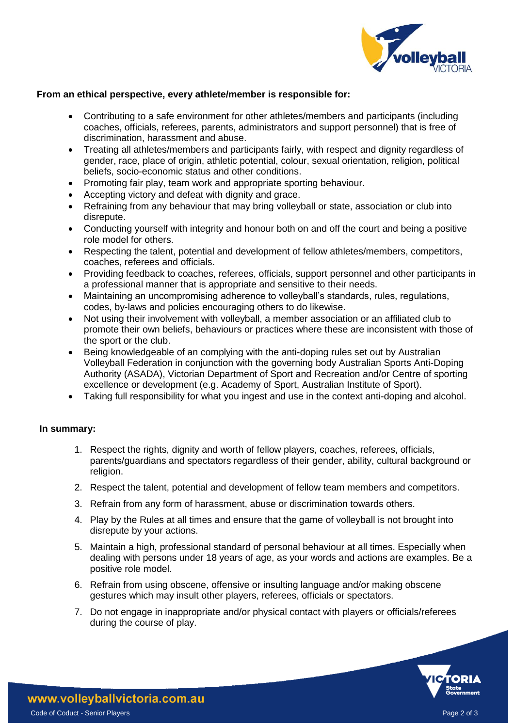

## **From an ethical perspective, every athlete/member is responsible for:**

- Contributing to a safe environment for other athletes/members and participants (including coaches, officials, referees, parents, administrators and support personnel) that is free of discrimination, harassment and abuse.
- Treating all athletes/members and participants fairly, with respect and dignity regardless of gender, race, place of origin, athletic potential, colour, sexual orientation, religion, political beliefs, socio-economic status and other conditions.
- Promoting fair play, team work and appropriate sporting behaviour.
- Accepting victory and defeat with dignity and grace.
- Refraining from any behaviour that may bring volleyball or state, association or club into disrepute.
- Conducting yourself with integrity and honour both on and off the court and being a positive role model for others.
- Respecting the talent, potential and development of fellow athletes/members, competitors, coaches, referees and officials.
- Providing feedback to coaches, referees, officials, support personnel and other participants in a professional manner that is appropriate and sensitive to their needs.
- Maintaining an uncompromising adherence to volleyball's standards, rules, regulations, codes, by-laws and policies encouraging others to do likewise.
- Not using their involvement with volleyball, a member association or an affiliated club to promote their own beliefs, behaviours or practices where these are inconsistent with those of the sport or the club.
- Being knowledgeable of an complying with the anti-doping rules set out by Australian Volleyball Federation in conjunction with the governing body Australian Sports Anti-Doping Authority (ASADA), Victorian Department of Sport and Recreation and/or Centre of sporting excellence or development (e.g. Academy of Sport, Australian Institute of Sport).
- Taking full responsibility for what you ingest and use in the context anti-doping and alcohol.

### **In summary:**

- 1. Respect the rights, dignity and worth of fellow players, coaches, referees, officials, parents/guardians and spectators regardless of their gender, ability, cultural background or religion.
- 2. Respect the talent, potential and development of fellow team members and competitors.
- 3. Refrain from any form of harassment, abuse or discrimination towards others.
- 4. Play by the Rules at all times and ensure that the game of volleyball is not brought into disrepute by your actions.
- 5. Maintain a high, professional standard of personal behaviour at all times. Especially when dealing with persons under 18 years of age, as your words and actions are examples. Be a positive role model.
- 6. Refrain from using obscene, offensive or insulting language and/or making obscene gestures which may insult other players, referees, officials or spectators.
- 7. Do not engage in inappropriate and/or physical contact with players or officials/referees during the course of play.